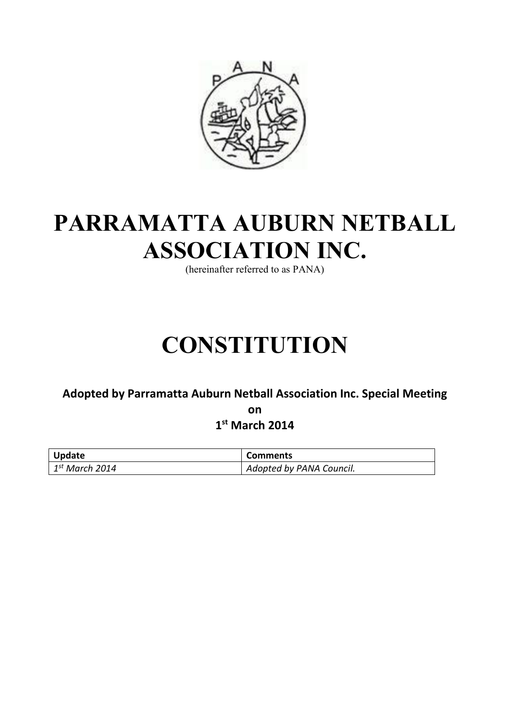

# **PARRAMATTA AUBURN NETBALL ASSOCIATION INC.**

(hereinafter referred to as PANA)

# **CONSTITUTION**

# **Adopted by Parramatta Auburn Netball Association Inc. Special Meeting on**

**1st March 2014**

| <b>Update</b>                      | <b>Comments</b>          |
|------------------------------------|--------------------------|
| $\vert$ 1 <sup>st</sup> March 2014 | Adopted by PANA Council. |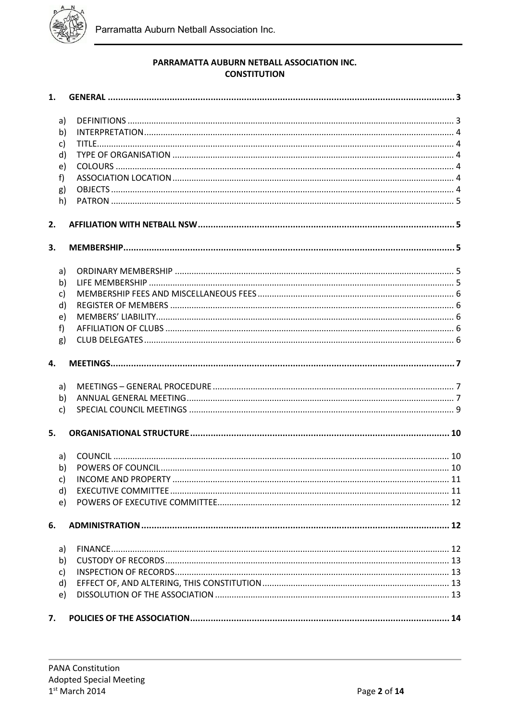

# PARRAMATTA AUBURN NETBALL ASSOCIATION INC. **CONSTITUTION**

| 1.           |    |  |
|--------------|----|--|
|              |    |  |
| a)           |    |  |
| b)           |    |  |
| c)           |    |  |
| d)           |    |  |
| e)           |    |  |
| f            |    |  |
| g)           |    |  |
| h)           |    |  |
|              |    |  |
| 2.           |    |  |
| 3.           |    |  |
|              |    |  |
| a)           |    |  |
| b)           |    |  |
| c)           |    |  |
| d)           |    |  |
| e)           |    |  |
| f            |    |  |
|              |    |  |
| g)           |    |  |
| 4.           |    |  |
| a)           |    |  |
| b)           |    |  |
| $\mathsf{C}$ |    |  |
|              |    |  |
| 5.           |    |  |
|              | a) |  |
| b)           |    |  |
| c)           |    |  |
| d)           |    |  |
| e)           |    |  |
|              |    |  |
| 6.           |    |  |
| a)           |    |  |
| b)           |    |  |
| c)           |    |  |
|              |    |  |
| d)           |    |  |
| e)           |    |  |
| 7.           |    |  |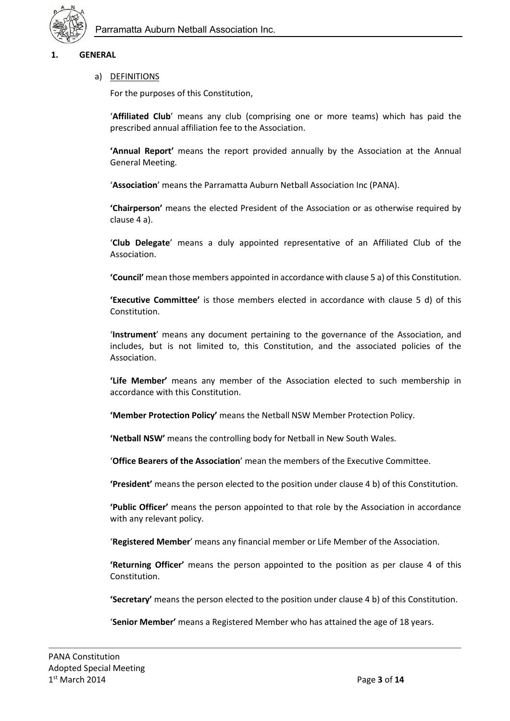

# **1. GENERAL**

#### a) DEFINITIONS

For the purposes of this Constitution,

'**Affiliated Club**' means any club (comprising one or more teams) which has paid the prescribed annual affiliation fee to the Association.

**'Annual Report'** means the report provided annually by the Association at the Annual General Meeting.

'**Association**' means the Parramatta Auburn Netball Association Inc (PANA).

**'Chairperson'** means the elected President of the Association or as otherwise required by clause 4 a).

'**Club Delegate**' means a duly appointed representative of an Affiliated Club of the Association.

**'Council'** mean those members appointed in accordance with clause 5 a) of this Constitution.

**'Executive Committee'** is those members elected in accordance with clause 5 d) of this Constitution.

'**Instrument**' means any document pertaining to the governance of the Association, and includes, but is not limited to, this Constitution, and the associated policies of the Association.

**'Life Member'** means any member of the Association elected to such membership in accordance with this Constitution.

**'Member Protection Policy'** means the Netball NSW Member Protection Policy.

**'Netball NSW'** means the controlling body for Netball in New South Wales.

'**Office Bearers of the Association**' mean the members of the Executive Committee.

**'President'** means the person elected to the position under clause 4 b) of this Constitution.

**'Public Officer'** means the person appointed to that role by the Association in accordance with any relevant policy.

'**Registered Member**' means any financial member or Life Member of the Association.

**'Returning Officer'** means the person appointed to the position as per clause 4 of this Constitution.

**'Secretary'** means the person elected to the position under clause 4 b) of this Constitution.

'**Senior Member'** means a Registered Member who has attained the age of 18 years.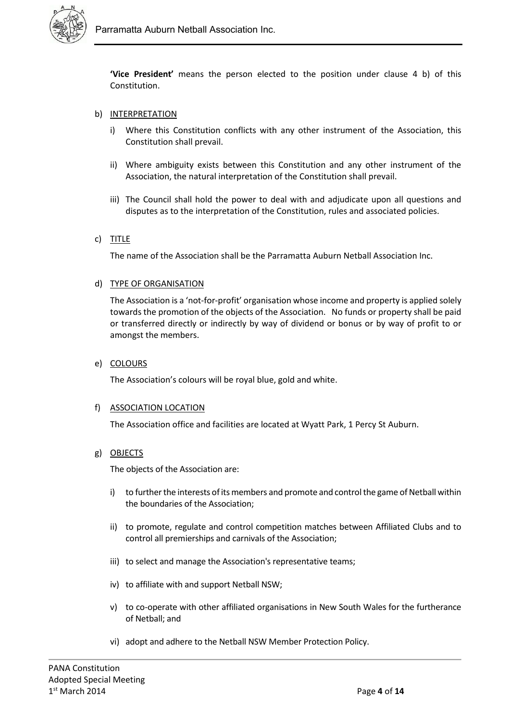

**'Vice President'** means the person elected to the position under clause 4 b) of this Constitution.

#### b) INTERPRETATION

- i) Where this Constitution conflicts with any other instrument of the Association, this Constitution shall prevail.
- ii) Where ambiguity exists between this Constitution and any other instrument of the Association, the natural interpretation of the Constitution shall prevail.
- iii) The Council shall hold the power to deal with and adjudicate upon all questions and disputes as to the interpretation of the Constitution, rules and associated policies.

# c) TITLE

The name of the Association shall be the Parramatta Auburn Netball Association Inc.

#### d) TYPE OF ORGANISATION

The Association is a 'not-for-profit' organisation whose income and property is applied solely towards the promotion of the objects of the Association. No funds or property shall be paid or transferred directly or indirectly by way of dividend or bonus or by way of profit to or amongst the members.

#### e) COLOURS

The Association's colours will be royal blue, gold and white.

#### f) ASSOCIATION LOCATION

The Association office and facilities are located at Wyatt Park, 1 Percy St Auburn.

#### g) OBJECTS

The objects of the Association are:

- i) to further the interests of its members and promote and control the game of Netball within the boundaries of the Association;
- ii) to promote, regulate and control competition matches between Affiliated Clubs and to control all premierships and carnivals of the Association;
- iii) to select and manage the Association's representative teams;
- iv) to affiliate with and support Netball NSW;
- v) to co-operate with other affiliated organisations in New South Wales for the furtherance of Netball; and
- vi) adopt and adhere to the Netball NSW Member Protection Policy.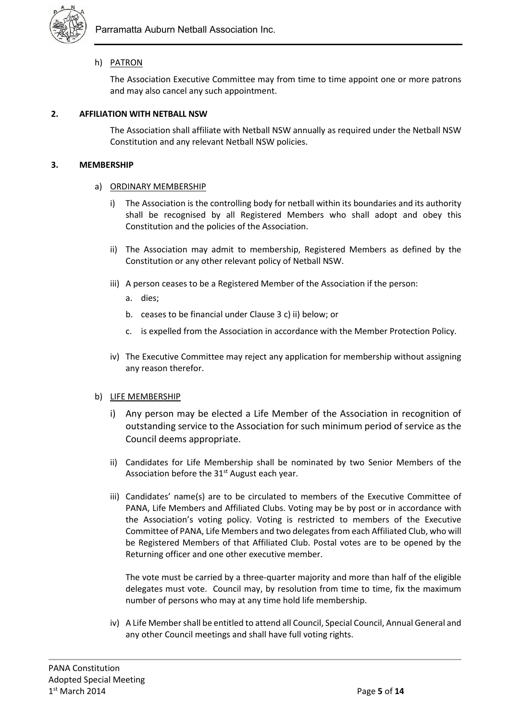

# h) PATRON

The Association Executive Committee may from time to time appoint one or more patrons and may also cancel any such appointment.

# **2. AFFILIATION WITH NETBALL NSW**

The Association shall affiliate with Netball NSW annually as required under the Netball NSW Constitution and any relevant Netball NSW policies.

# **3. MEMBERSHIP**

# a) ORDINARY MEMBERSHIP

- i) The Association is the controlling body for netball within its boundaries and its authority shall be recognised by all Registered Members who shall adopt and obey this Constitution and the policies of the Association.
- ii) The Association may admit to membership, Registered Members as defined by the Constitution or any other relevant policy of Netball NSW.
- iii) A person ceases to be a Registered Member of the Association if the person:
	- a. dies;
	- b. ceases to be financial under Clause 3 c) ii) below; or
	- c. is expelled from the Association in accordance with the Member Protection Policy.
- iv) The Executive Committee may reject any application for membership without assigning any reason therefor.

#### b) LIFE MEMBERSHIP

- i) Any person may be elected a Life Member of the Association in recognition of outstanding service to the Association for such minimum period of service as the Council deems appropriate.
- ii) Candidates for Life Membership shall be nominated by two Senior Members of the Association before the 31<sup>st</sup> August each year.
- iii) Candidates' name(s) are to be circulated to members of the Executive Committee of PANA, Life Members and Affiliated Clubs. Voting may be by post or in accordance with the Association's voting policy. Voting is restricted to members of the Executive Committee of PANA, Life Members and two delegates from each Affiliated Club, who will be Registered Members of that Affiliated Club. Postal votes are to be opened by the Returning officer and one other executive member.

The vote must be carried by a three-quarter majority and more than half of the eligible delegates must vote. Council may, by resolution from time to time, fix the maximum number of persons who may at any time hold life membership.

iv) A Life Member shall be entitled to attend all Council, Special Council, Annual General and any other Council meetings and shall have full voting rights.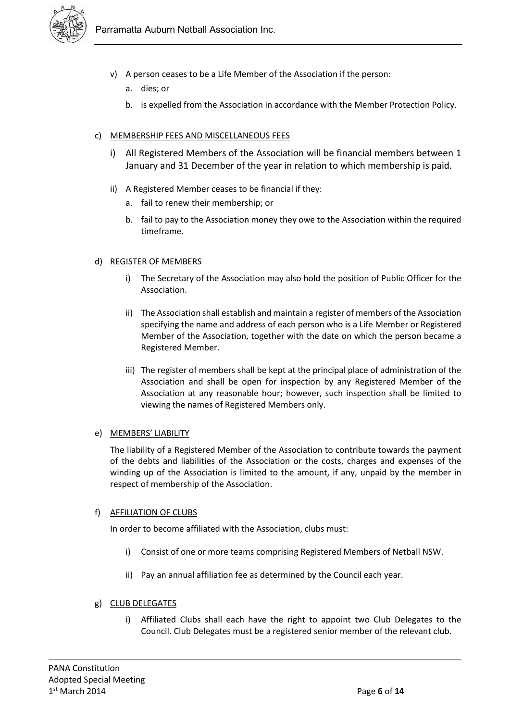

- v) A person ceases to be a Life Member of the Association if the person:
	- a. dies; or
	- b. is expelled from the Association in accordance with the Member Protection Policy.

# c) MEMBERSHIP FEES AND MISCELLANEOUS FEES

- i) All Registered Members of the Association will be financial members between 1 January and 31 December of the year in relation to which membership is paid.
- ii) A Registered Member ceases to be financial if they:
	- a. fail to renew their membership; or
	- b. fail to pay to the Association money they owe to the Association within the required timeframe.

#### d) REGISTER OF MEMBERS

- i) The Secretary of the Association may also hold the position of Public Officer for the Association.
- ii) The Association shall establish and maintain a register of members of the Association specifying the name and address of each person who is a Life Member or Registered Member of the Association, together with the date on which the person became a Registered Member.
- iii) The register of members shall be kept at the principal place of administration of the Association and shall be open for inspection by any Registered Member of the Association at any reasonable hour; however, such inspection shall be limited to viewing the names of Registered Members only.

#### e) MEMBERS' LIABILITY

The liability of a Registered Member of the Association to contribute towards the payment of the debts and liabilities of the Association or the costs, charges and expenses of the winding up of the Association is limited to the amount, if any, unpaid by the member in respect of membership of the Association.

#### f) AFFILIATION OF CLUBS

In order to become affiliated with the Association, clubs must:

- i) Consist of one or more teams comprising Registered Members of Netball NSW.
- ii) Pay an annual affiliation fee as determined by the Council each year.

# g) CLUB DELEGATES

i) Affiliated Clubs shall each have the right to appoint two Club Delegates to the Council. Club Delegates must be a registered senior member of the relevant club.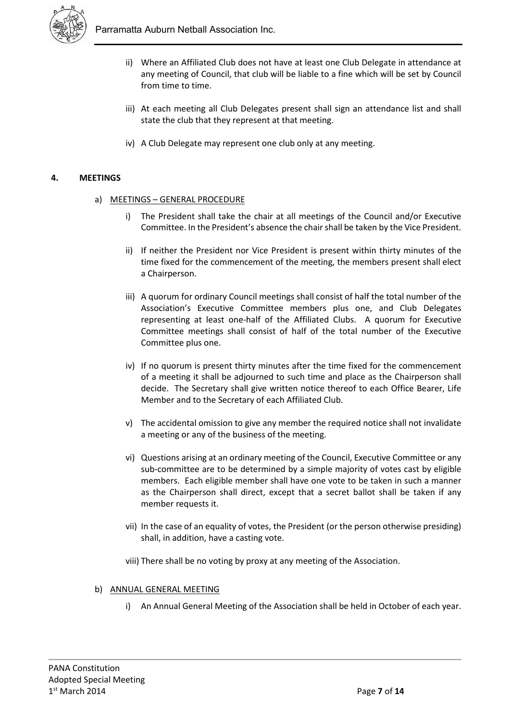

- ii) Where an Affiliated Club does not have at least one Club Delegate in attendance at any meeting of Council, that club will be liable to a fine which will be set by Council from time to time.
- iii) At each meeting all Club Delegates present shall sign an attendance list and shall state the club that they represent at that meeting.
- iv) A Club Delegate may represent one club only at any meeting.

# **4. MEETINGS**

- a) MEETINGS GENERAL PROCEDURE
	- i) The President shall take the chair at all meetings of the Council and/or Executive Committee. In the President's absence the chair shall be taken by the Vice President.
	- ii) If neither the President nor Vice President is present within thirty minutes of the time fixed for the commencement of the meeting, the members present shall elect a Chairperson.
	- iii) A quorum for ordinary Council meetings shall consist of half the total number of the Association's Executive Committee members plus one, and Club Delegates representing at least one-half of the Affiliated Clubs. A quorum for Executive Committee meetings shall consist of half of the total number of the Executive Committee plus one.
	- iv) If no quorum is present thirty minutes after the time fixed for the commencement of a meeting it shall be adjourned to such time and place as the Chairperson shall decide. The Secretary shall give written notice thereof to each Office Bearer, Life Member and to the Secretary of each Affiliated Club.
	- v) The accidental omission to give any member the required notice shall not invalidate a meeting or any of the business of the meeting.
	- vi) Questions arising at an ordinary meeting of the Council, Executive Committee or any sub-committee are to be determined by a simple majority of votes cast by eligible members. Each eligible member shall have one vote to be taken in such a manner as the Chairperson shall direct, except that a secret ballot shall be taken if any member requests it.
	- vii) In the case of an equality of votes, the President (or the person otherwise presiding) shall, in addition, have a casting vote.
	- viii) There shall be no voting by proxy at any meeting of the Association.

#### b) ANNUAL GENERAL MEETING

i) An Annual General Meeting of the Association shall be held in October of each year.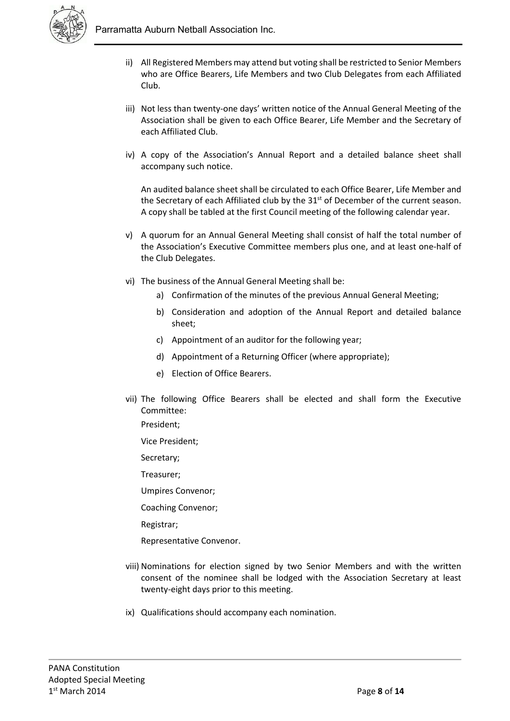

- ii) All Registered Members may attend but voting shall be restricted to Senior Members who are Office Bearers, Life Members and two Club Delegates from each Affiliated Club.
- iii) Not less than twenty-one days' written notice of the Annual General Meeting of the Association shall be given to each Office Bearer, Life Member and the Secretary of each Affiliated Club.
- iv) A copy of the Association's Annual Report and a detailed balance sheet shall accompany such notice.

An audited balance sheet shall be circulated to each Office Bearer, Life Member and the Secretary of each Affiliated club by the  $31<sup>st</sup>$  of December of the current season. A copy shall be tabled at the first Council meeting of the following calendar year.

- v) A quorum for an Annual General Meeting shall consist of half the total number of the Association's Executive Committee members plus one, and at least one-half of the Club Delegates.
- vi) The business of the Annual General Meeting shall be:
	- a) Confirmation of the minutes of the previous Annual General Meeting;
	- b) Consideration and adoption of the Annual Report and detailed balance sheet;
	- c) Appointment of an auditor for the following year;
	- d) Appointment of a Returning Officer (where appropriate);
	- e) Election of Office Bearers.
- vii) The following Office Bearers shall be elected and shall form the Executive Committee:
	- President;
	- Vice President;
	- Secretary;
	- Treasurer;
	- Umpires Convenor;
	- Coaching Convenor;
	- Registrar;
	- Representative Convenor.
- viii) Nominations for election signed by two Senior Members and with the written consent of the nominee shall be lodged with the Association Secretary at least twenty-eight days prior to this meeting.
- ix) Qualifications should accompany each nomination.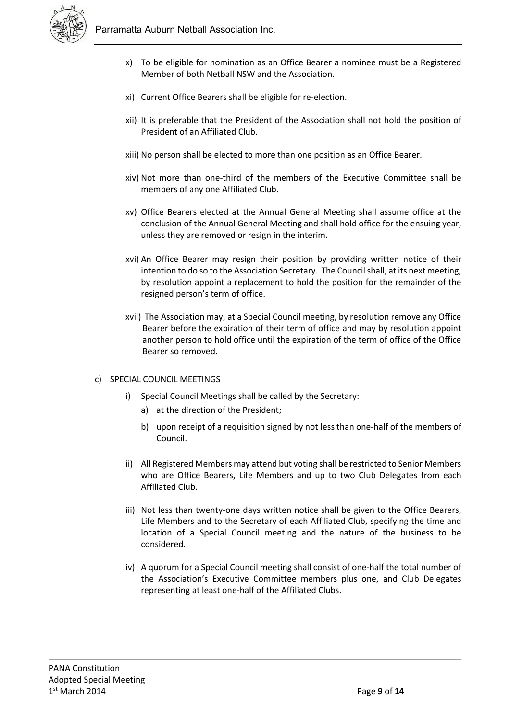

- x) To be eligible for nomination as an Office Bearer a nominee must be a Registered Member of both Netball NSW and the Association.
- xi) Current Office Bearers shall be eligible for re-election.
- xii) It is preferable that the President of the Association shall not hold the position of President of an Affiliated Club.
- xiii) No person shall be elected to more than one position as an Office Bearer.
- xiv) Not more than one-third of the members of the Executive Committee shall be members of any one Affiliated Club.
- xv) Office Bearers elected at the Annual General Meeting shall assume office at the conclusion of the Annual General Meeting and shall hold office for the ensuing year, unless they are removed or resign in the interim.
- xvi) An Office Bearer may resign their position by providing written notice of their intention to do so to the Association Secretary. The Council shall, at its next meeting, by resolution appoint a replacement to hold the position for the remainder of the resigned person's term of office.
- xvii) The Association may, at a Special Council meeting, by resolution remove any Office Bearer before the expiration of their term of office and may by resolution appoint another person to hold office until the expiration of the term of office of the Office Bearer so removed.

# c) SPECIAL COUNCIL MEETINGS

- i) Special Council Meetings shall be called by the Secretary:
	- a) at the direction of the President;
	- b) upon receipt of a requisition signed by not less than one-half of the members of Council.
- ii) All Registered Members may attend but voting shall be restricted to Senior Members who are Office Bearers, Life Members and up to two Club Delegates from each Affiliated Club.
- iii) Not less than twenty-one days written notice shall be given to the Office Bearers, Life Members and to the Secretary of each Affiliated Club, specifying the time and location of a Special Council meeting and the nature of the business to be considered.
- iv) A quorum for a Special Council meeting shall consist of one-half the total number of the Association's Executive Committee members plus one, and Club Delegates representing at least one-half of the Affiliated Clubs.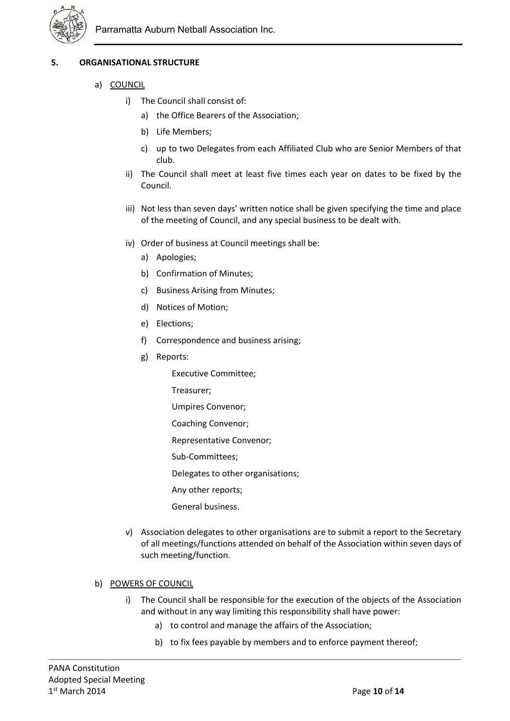

# **5. ORGANISATIONAL STRUCTURE**

- a) COUNCIL
	- i) The Council shall consist of:
		- a) the Office Bearers of the Association;
		- b) Life Members;
		- c) up to two Delegates from each Affiliated Club who are Senior Members of that club.
	- ii) The Council shall meet at least five times each year on dates to be fixed by the Council.
	- iii) Not less than seven days' written notice shall be given specifying the time and place of the meeting of Council, and any special business to be dealt with.
	- iv) Order of business at Council meetings shall be:
		- a) Apologies;
		- b) Confirmation of Minutes;
		- c) Business Arising from Minutes;
		- d) Notices of Motion;
		- e) Elections;
		- f) Correspondence and business arising;
		- g) Reports:
			- Executive Committee;
			- Treasurer;
			- Umpires Convenor;
			- Coaching Convenor;
			- Representative Convenor;
			- Sub-Committees;
			- Delegates to other organisations;
			- Any other reports;
			- General business.
	- v) Association delegates to other organisations are to submit a report to the Secretary of all meetings/functions attended on behalf of the Association within seven days of such meeting/function.

#### b) POWERS OF COUNCIL

- i) The Council shall be responsible for the execution of the objects of the Association and without in any way limiting this responsibility shall have power:
	- a) to control and manage the affairs of the Association;
	- b) to fix fees payable by members and to enforce payment thereof;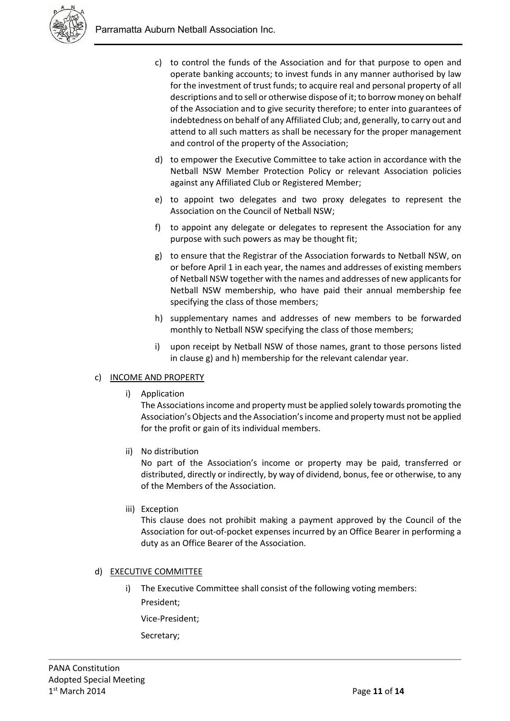

- c) to control the funds of the Association and for that purpose to open and operate banking accounts; to invest funds in any manner authorised by law for the investment of trust funds; to acquire real and personal property of all descriptions and to sell or otherwise dispose of it; to borrow money on behalf of the Association and to give security therefore; to enter into guarantees of indebtedness on behalf of any Affiliated Club; and, generally, to carry out and attend to all such matters as shall be necessary for the proper management and control of the property of the Association;
- d) to empower the Executive Committee to take action in accordance with the Netball NSW Member Protection Policy or relevant Association policies against any Affiliated Club or Registered Member;
- e) to appoint two delegates and two proxy delegates to represent the Association on the Council of Netball NSW;
- f) to appoint any delegate or delegates to represent the Association for any purpose with such powers as may be thought fit;
- g) to ensure that the Registrar of the Association forwards to Netball NSW, on or before April 1 in each year, the names and addresses of existing members of Netball NSW together with the names and addresses of new applicants for Netball NSW membership, who have paid their annual membership fee specifying the class of those members;
- h) supplementary names and addresses of new members to be forwarded monthly to Netball NSW specifying the class of those members;
- i) upon receipt by Netball NSW of those names, grant to those persons listed in clause g) and h) membership for the relevant calendar year.

# c) INCOME AND PROPERTY

i) Application

The Associations income and property must be applied solely towards promoting the Association's Objects and the Association's income and property must not be applied for the profit or gain of its individual members.

ii) No distribution

No part of the Association's income or property may be paid, transferred or distributed, directly or indirectly, by way of dividend, bonus, fee or otherwise, to any of the Members of the Association.

iii) Exception

This clause does not prohibit making a payment approved by the Council of the Association for out-of-pocket expenses incurred by an Office Bearer in performing a duty as an Office Bearer of the Association.

# d) EXECUTIVE COMMITTEE

i) The Executive Committee shall consist of the following voting members: President;

Vice-President;

Secretary;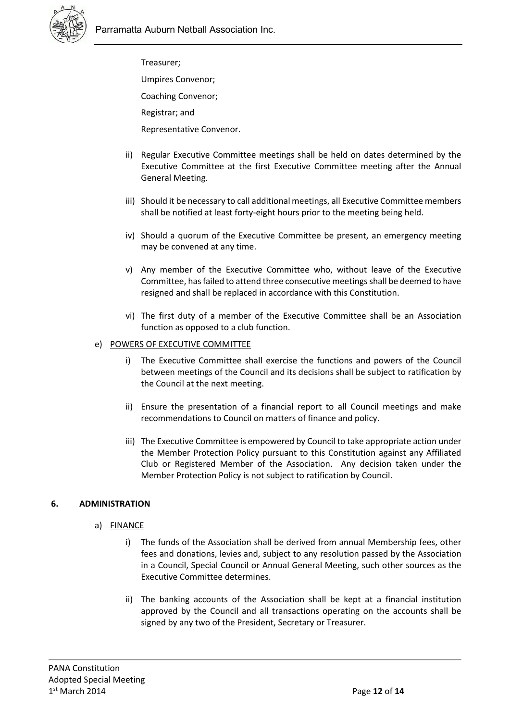

Treasurer; Umpires Convenor;

Coaching Convenor;

Registrar; and

Representative Convenor.

- ii) Regular Executive Committee meetings shall be held on dates determined by the Executive Committee at the first Executive Committee meeting after the Annual General Meeting.
- iii) Should it be necessary to call additional meetings, all Executive Committee members shall be notified at least forty-eight hours prior to the meeting being held.
- iv) Should a quorum of the Executive Committee be present, an emergency meeting may be convened at any time.
- v) Any member of the Executive Committee who, without leave of the Executive Committee, has failed to attend three consecutive meetings shall be deemed to have resigned and shall be replaced in accordance with this Constitution.
- vi) The first duty of a member of the Executive Committee shall be an Association function as opposed to a club function.

# e) POWERS OF EXECUTIVE COMMITTEE

- i) The Executive Committee shall exercise the functions and powers of the Council between meetings of the Council and its decisions shall be subject to ratification by the Council at the next meeting.
- ii) Ensure the presentation of a financial report to all Council meetings and make recommendations to Council on matters of finance and policy.
- iii) The Executive Committee is empowered by Council to take appropriate action under the Member Protection Policy pursuant to this Constitution against any Affiliated Club or Registered Member of the Association. Any decision taken under the Member Protection Policy is not subject to ratification by Council.

# **6. ADMINISTRATION**

# a) FINANCE

- i) The funds of the Association shall be derived from annual Membership fees, other fees and donations, levies and, subject to any resolution passed by the Association in a Council, Special Council or Annual General Meeting, such other sources as the Executive Committee determines.
- ii) The banking accounts of the Association shall be kept at a financial institution approved by the Council and all transactions operating on the accounts shall be signed by any two of the President, Secretary or Treasurer.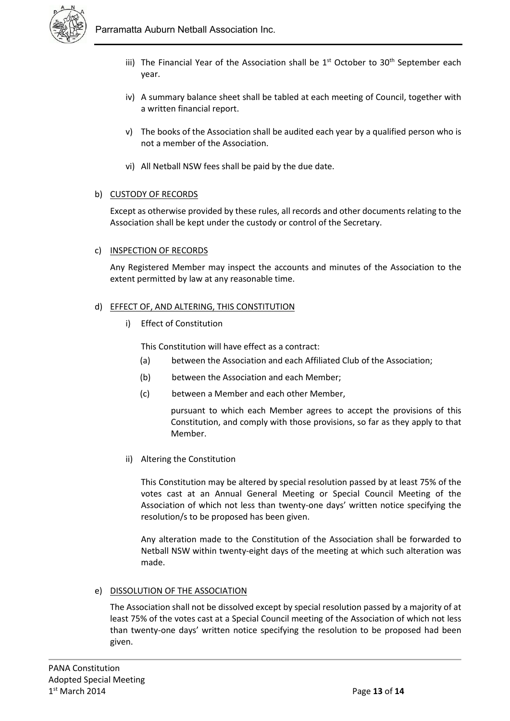

- iii) The Financial Year of the Association shall be  $1<sup>st</sup>$  October to 30<sup>th</sup> September each year.
- iv) A summary balance sheet shall be tabled at each meeting of Council, together with a written financial report.
- v) The books of the Association shall be audited each year by a qualified person who is not a member of the Association.
- vi) All Netball NSW fees shall be paid by the due date.

# b) CUSTODY OF RECORDS

Except as otherwise provided by these rules, all records and other documents relating to the Association shall be kept under the custody or control of the Secretary.

# c) INSPECTION OF RECORDS

Any Registered Member may inspect the accounts and minutes of the Association to the extent permitted by law at any reasonable time.

#### d) EFFECT OF, AND ALTERING, THIS CONSTITUTION

i) Effect of Constitution

This Constitution will have effect as a contract:

- (a) between the Association and each Affiliated Club of the Association;
- (b) between the Association and each Member;
- (c) between a Member and each other Member,

pursuant to which each Member agrees to accept the provisions of this Constitution, and comply with those provisions, so far as they apply to that Member.

ii) Altering the Constitution

This Constitution may be altered by special resolution passed by at least 75% of the votes cast at an Annual General Meeting or Special Council Meeting of the Association of which not less than twenty-one days' written notice specifying the resolution/s to be proposed has been given.

Any alteration made to the Constitution of the Association shall be forwarded to Netball NSW within twenty-eight days of the meeting at which such alteration was made.

#### e) DISSOLUTION OF THE ASSOCIATION

The Association shall not be dissolved except by special resolution passed by a majority of at least 75% of the votes cast at a Special Council meeting of the Association of which not less than twenty-one days' written notice specifying the resolution to be proposed had been given.